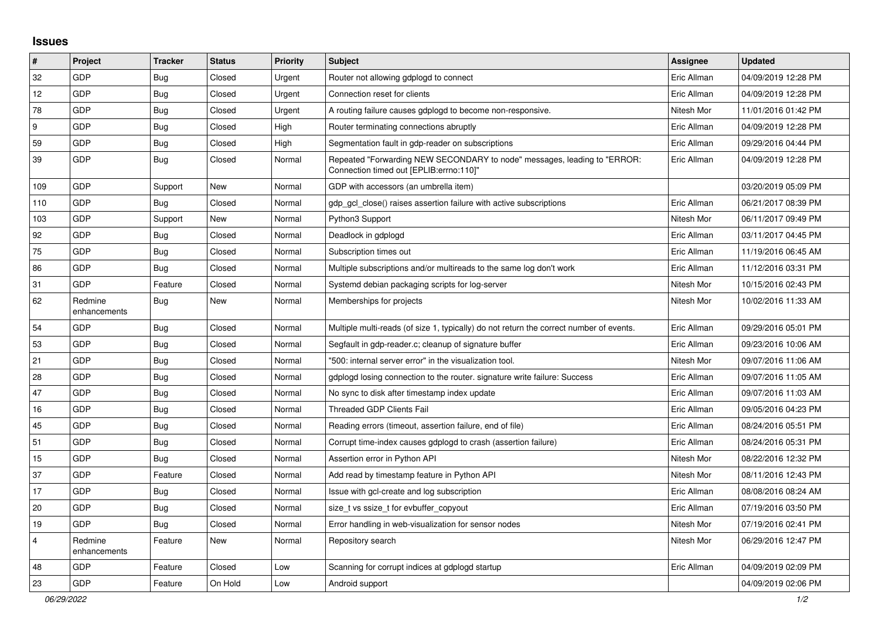## **Issues**

| $\pmb{\sharp}$          | Project                 | <b>Tracker</b> | <b>Status</b> | <b>Priority</b> | <b>Subject</b>                                                                                                      | <b>Assignee</b> | <b>Updated</b>      |
|-------------------------|-------------------------|----------------|---------------|-----------------|---------------------------------------------------------------------------------------------------------------------|-----------------|---------------------|
| 32                      | GDP                     | Bug            | Closed        | Urgent          | Router not allowing gdplogd to connect                                                                              | Eric Allman     | 04/09/2019 12:28 PM |
| 12                      | GDP                     | <b>Bug</b>     | Closed        | Urgent          | Connection reset for clients                                                                                        | Eric Allman     | 04/09/2019 12:28 PM |
| 78                      | GDP                     | <b>Bug</b>     | Closed        | Urgent          | A routing failure causes gdplogd to become non-responsive.                                                          | Nitesh Mor      | 11/01/2016 01:42 PM |
| 9                       | GDP                     | <b>Bug</b>     | Closed        | High            | Router terminating connections abruptly                                                                             | Eric Allman     | 04/09/2019 12:28 PM |
| 59                      | GDP                     | <b>Bug</b>     | Closed        | High            | Segmentation fault in gdp-reader on subscriptions                                                                   | Eric Allman     | 09/29/2016 04:44 PM |
| 39                      | GDP                     | Bug            | Closed        | Normal          | Repeated "Forwarding NEW SECONDARY to node" messages, leading to "ERROR:<br>Connection timed out [EPLIB:errno:110]" | Eric Allman     | 04/09/2019 12:28 PM |
| 109                     | GDP                     | Support        | <b>New</b>    | Normal          | GDP with accessors (an umbrella item)                                                                               |                 | 03/20/2019 05:09 PM |
| 110                     | GDP                     | Bug            | Closed        | Normal          | gdp gcl close() raises assertion failure with active subscriptions                                                  | Eric Allman     | 06/21/2017 08:39 PM |
| 103                     | GDP                     | Support        | <b>New</b>    | Normal          | Python3 Support                                                                                                     | Nitesh Mor      | 06/11/2017 09:49 PM |
| 92                      | GDP                     | <b>Bug</b>     | Closed        | Normal          | Deadlock in gdplogd                                                                                                 | Eric Allman     | 03/11/2017 04:45 PM |
| 75                      | GDP                     | <b>Bug</b>     | Closed        | Normal          | Subscription times out                                                                                              | Eric Allman     | 11/19/2016 06:45 AM |
| 86                      | GDP                     | <b>Bug</b>     | Closed        | Normal          | Multiple subscriptions and/or multireads to the same log don't work                                                 | Eric Allman     | 11/12/2016 03:31 PM |
| 31                      | GDP                     | Feature        | Closed        | Normal          | Systemd debian packaging scripts for log-server                                                                     | Nitesh Mor      | 10/15/2016 02:43 PM |
| 62                      | Redmine<br>enhancements | <b>Bug</b>     | New           | Normal          | Memberships for projects                                                                                            | Nitesh Mor      | 10/02/2016 11:33 AM |
| 54                      | GDP                     | <b>Bug</b>     | Closed        | Normal          | Multiple multi-reads (of size 1, typically) do not return the correct number of events.                             | Eric Allman     | 09/29/2016 05:01 PM |
| 53                      | GDP                     | <b>Bug</b>     | Closed        | Normal          | Segfault in gdp-reader.c; cleanup of signature buffer                                                               | Eric Allman     | 09/23/2016 10:06 AM |
| 21                      | GDP                     | <b>Bug</b>     | Closed        | Normal          | '500: internal server error" in the visualization tool.                                                             | Nitesh Mor      | 09/07/2016 11:06 AM |
| 28                      | GDP                     | Bug            | Closed        | Normal          | gdplogd losing connection to the router, signature write failure: Success                                           | Eric Allman     | 09/07/2016 11:05 AM |
| 47                      | GDP                     | <b>Bug</b>     | Closed        | Normal          | No sync to disk after timestamp index update                                                                        | Eric Allman     | 09/07/2016 11:03 AM |
| 16                      | GDP                     | Bug            | Closed        | Normal          | <b>Threaded GDP Clients Fail</b>                                                                                    | Eric Allman     | 09/05/2016 04:23 PM |
| 45                      | GDP                     | Bug            | Closed        | Normal          | Reading errors (timeout, assertion failure, end of file)                                                            | Eric Allman     | 08/24/2016 05:51 PM |
| 51                      | GDP                     | <b>Bug</b>     | Closed        | Normal          | Corrupt time-index causes gdplogd to crash (assertion failure)                                                      | Eric Allman     | 08/24/2016 05:31 PM |
| 15                      | GDP                     | <b>Bug</b>     | Closed        | Normal          | Assertion error in Python API                                                                                       | Nitesh Mor      | 08/22/2016 12:32 PM |
| 37                      | GDP                     | Feature        | Closed        | Normal          | Add read by timestamp feature in Python API                                                                         | Nitesh Mor      | 08/11/2016 12:43 PM |
| 17                      | GDP                     | <b>Bug</b>     | Closed        | Normal          | Issue with gcl-create and log subscription                                                                          | Eric Allman     | 08/08/2016 08:24 AM |
| 20                      | GDP                     | <b>Bug</b>     | Closed        | Normal          | size_t vs ssize_t for evbuffer_copyout                                                                              | Eric Allman     | 07/19/2016 03:50 PM |
| 19                      | GDP                     | <b>Bug</b>     | Closed        | Normal          | Error handling in web-visualization for sensor nodes                                                                | Nitesh Mor      | 07/19/2016 02:41 PM |
| $\overline{\mathbf{4}}$ | Redmine<br>enhancements | Feature        | New           | Normal          | Repository search                                                                                                   | Nitesh Mor      | 06/29/2016 12:47 PM |
| 48                      | GDP                     | Feature        | Closed        | Low             | Scanning for corrupt indices at gdplogd startup                                                                     | Eric Allman     | 04/09/2019 02:09 PM |
| 23                      | GDP                     | Feature        | On Hold       | Low             | Android support                                                                                                     |                 | 04/09/2019 02:06 PM |